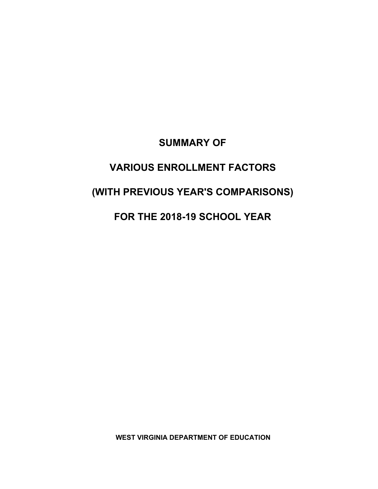### **SUMMARY OF**

# **VARIOUS ENROLLMENT FACTORS**

# **(WITH PREVIOUS YEAR'S COMPARISONS)**

## **FOR THE 2018-19 SCHOOL YEAR**

**WEST VIRGINIA DEPARTMENT OF EDUCATION**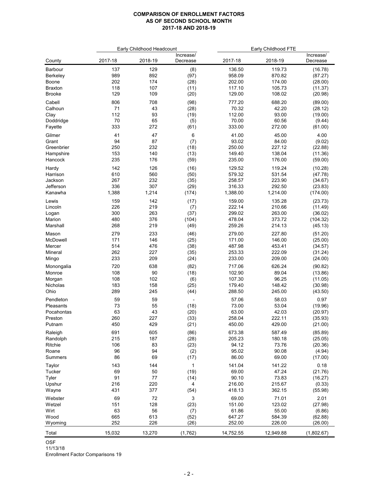|                    | Early Childhood Headcount |            |                | Early Childhood FTE |                |                    |
|--------------------|---------------------------|------------|----------------|---------------------|----------------|--------------------|
|                    |                           |            | Increase/      |                     |                | Increase/          |
| County             | 2017-18                   | 2018-19    | Decrease       | 2017-18             | 2018-19        | Decrease           |
| Barbour            | 137                       | 129        | (8)            | 136.50              | 119.73         | (16.78)            |
| <b>Berkeley</b>    | 989                       | 892        | (97)           | 958.09              | 870.82         | (87.27)            |
| Boone              | 202                       | 174        | (28)           | 202.00              | 174.00         | (28.00)            |
| <b>Braxton</b>     | 118                       | 107        | (11)           | 117.10              | 105.73         | (11.37)            |
| <b>Brooke</b>      | 129                       | 109        | (20)           | 129.00              | 108.02         | (20.98)            |
| Cabell             | 806                       | 708        | (98)           | 777.20              | 688.20         | (89.00)            |
| Calhoun            | 71                        | 43         | (28)           | 70.32               | 42.20          | (28.12)            |
| Clay               | 112                       | 93         | (19)           | 112.00              | 93.00          | (19.00)            |
| Doddridge          | 70                        | 65         | (5)            | 70.00               | 60.56          | (9.44)             |
| Fayette            | 333                       | 272        | (61)           | 333.00              | 272.00         | (61.00)            |
|                    |                           |            |                |                     |                |                    |
| Gilmer             | 41                        | 47         | 6              | 41.00               | 45.00          | 4.00               |
| Grant              | 94                        | 87         | (7)            | 93.02               | 84.00          | (9.02)             |
| Greenbrier         | 250                       | 232        | (18)           | 250.00              | 227.12         | (22.88)            |
| Hampshire          | 153                       | 140<br>176 | (13)           | 149.40              | 138.04         | (11.36)            |
| Hancock            | 235                       |            | (59)           | 235.00              | 176.00         | (59.00)            |
| Hardy              | 142                       | 126        | (16)           | 129.52              | 119.24         | (10.28)            |
| Harrison           | 610                       | 560        | (50)           | 579.32              | 531.54         | (47.78)            |
| Jackson            | 267                       | 232        | (35)           | 258.57              | 223.90         | (34.67)            |
| Jefferson          | 336                       | 307        | (29)           | 316.33              | 292.50         | (23.83)            |
| Kanawha            | 1,388                     | 1,214      | (174)          | 1,388.00            | 1,214.00       | (174.00)           |
| Lewis              | 159                       | 142        | (17)           | 159.00              | 135.28         | (23.73)            |
| Lincoln            | 226                       | 219        | (7)            | 222.14              | 210.66         | (11.49)            |
| Logan              | 300                       | 263        | (37)           | 299.02              | 263.00         | (36.02)            |
| Marion             | 480                       | 376        | (104)          | 478.04              | 373.72         | (104.32)           |
| Marshall           | 268                       | 219        | (49)           | 259.26              | 214.13         | (45.13)            |
| Mason              | 279                       | 233        | (46)           | 279.00              | 227.80         | (51.20)            |
| McDowell           | 171                       | 146        | (25)           | 171.00              | 146.00         | (25.00)            |
| Mercer             | 514                       | 476        | (38)           | 487.98              | 453.41         | (34.57)            |
| Mineral            | 262                       | 227        | (35)           | 253.33              | 222.09         | (31.24)            |
| Mingo              | 233                       | 209        | (24)           | 233.00              | 209.00         | (24.00)            |
|                    | 720                       | 638        |                | 717.06              | 626.24         |                    |
| Monongalia         |                           |            | (82)           |                     |                | (90.82)            |
| Monroe             | 108<br>108                | 90<br>102  | (18)<br>(6)    | 102.90<br>107.30    | 89.04<br>96.25 | (13.86)            |
| Morgan<br>Nicholas | 183                       | 158        |                | 179.40              | 148.42         | (11.05)            |
| Ohio               | 289                       | 245        | (25)<br>(44)   | 288.50              | 245.00         | (30.98)<br>(43.50) |
|                    |                           |            |                |                     |                |                    |
| Pendleton          | 59                        | 59         | $\blacksquare$ | 57.06               | 58.03          | 0.97               |
| Pleasants          | 73                        | 55         | (18)           | 73.00               | 53.04          | (19.96)            |
| Pocahontas         | 63                        | 43         | (20)           | 63.00               | 42.03          | (20.97)            |
| Preston            | 260                       | 227        | (33)           | 258.04              | 222.11         | (35.93)            |
| Putnam             | 450                       | 429        | (21)           | 450.00              | 429.00         | (21.00)            |
| Raleigh            | 691                       | 605        | (86)           | 673.38              | 587.49         | (85.89)            |
| Randolph           | 215                       | 187        | (28)           | 205.23              | 180.18         | (25.05)            |
| Ritchie            | 106                       | 83         | (23)           | 94.12               | 73.76          | (20.36)            |
| Roane              | 96                        | 94         | (2)            | 95.02               | 90.08          | (4.94)             |
| Summers            | 86                        | 69         | (17)           | 86.00               | 69.00          | (17.00)            |
| Taylor             | 143                       | 144        | $\mathbf{1}$   | 141.04              | 141.22         | 0.18               |
| Tucker             | 69                        | 50         | (19)           | 69.00               | 47.24          | (21.76)            |
| Tyler              | 91                        | 77         | (14)           | 90.10               | 73.83          | (16.27)            |
| Upshur             | 216                       | 220        | 4              | 216.00              | 215.67         | (0.33)             |
| Wayne              | 431                       | 377        | (54)           | 418.13              | 362.15         | (55.98)            |
| Webster            | 69                        | 72         | 3              | 69.00               | 71.01          | 2.01               |
| Wetzel             | 151                       | 128        | (23)           | 151.00              | 123.02         | (27.98)            |
| Wirt               | 63                        | 56         | (7)            | 61.86               | 55.00          | (6.86)             |
| Wood               | 665                       | 613        | (52)           | 647.27              | 584.39         | (62.88)            |
| Wyoming            | 252                       | 226        | (26)           | 252.00              | 226.00         | (26.00)            |
|                    |                           |            |                |                     |                |                    |
| Total              | 15,032                    | 13,270     | (1,762)        | 14,752.55           | 12,949.88      | (1,802.67)         |

OSF

11/13/18

Enrollment Factor Comparisons 19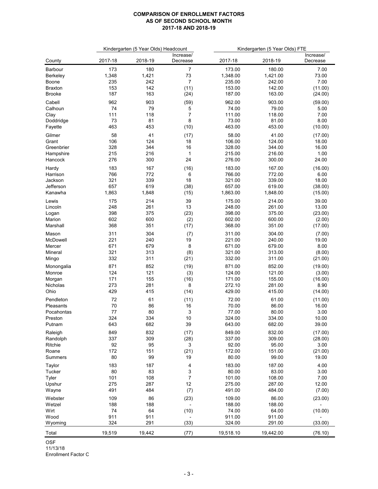|                         | Kindergarten (5 Year Olds) Headcount |          | Kindergarten (5 Year Olds) FTE |                |                |               |
|-------------------------|--------------------------------------|----------|--------------------------------|----------------|----------------|---------------|
|                         |                                      |          | Increase/                      |                |                | Increase/     |
| County                  | 2017-18                              | 2018-19  | Decrease                       | 2017-18        | 2018-19        | Decrease      |
| Barbour                 | 173                                  | 180      | $\overline{7}$                 | 173.00         | 180.00         | 7.00          |
| Berkeley                | 1,348                                | 1,421    | 73                             | 1,348.00       | 1,421.00       | 73.00         |
| Boone                   | 235                                  | 242      | $\overline{7}$                 | 235.00         | 242.00         | 7.00          |
| <b>Braxton</b>          | 153                                  | 142      | (11)                           | 153.00         | 142.00         | (11.00)       |
| <b>Brooke</b>           | 187                                  | 163      | (24)                           | 187.00         | 163.00         | (24.00)       |
| Cabell                  | 962                                  | 903      | (59)                           | 962.00         | 903.00         | (59.00)       |
| Calhoun                 | 74                                   | 79       | 5                              | 74.00          | 79.00          | 5.00          |
| Clay                    | 111                                  | 118      | $\overline{7}$                 | 111.00         | 118.00         | 7.00          |
| Doddridge               | 73                                   | 81       | 8                              | 73.00          | 81.00          | 8.00          |
| Fayette                 | 463                                  | 453      | (10)                           | 463.00         | 453.00         | (10.00)       |
| Gilmer                  | 58                                   | 41       | (17)                           | 58.00          | 41.00          | (17.00)       |
| Grant                   | 106                                  | 124      | 18                             | 106.00         | 124.00         | 18.00         |
| Greenbrier              | 328                                  | 344      | 16                             | 328.00         | 344.00         | 16.00         |
| Hampshire               | 215                                  | 216      | 1                              | 215.00         | 216.00         | 1.00          |
| Hancock                 | 276                                  | 300      | 24                             | 276.00         | 300.00         | 24.00         |
|                         |                                      |          |                                |                |                |               |
| Hardy                   | 183                                  | 167      | (16)                           | 183.00         | 167.00         | (16.00)       |
| Harrison                | 766                                  | 772      | 6                              | 766.00         | 772.00         | 6.00          |
| Jackson                 | 321                                  | 339      | 18                             | 321.00         | 339.00         | 18.00         |
| Jefferson               | 657                                  | 619      | (38)                           | 657.00         | 619.00         | (38.00)       |
| Kanawha                 | 1,863                                | 1,848    | (15)                           | 1,863.00       | 1,848.00       | (15.00)       |
| Lewis                   | 175                                  | 214      | 39                             | 175.00         | 214.00         | 39.00         |
| Lincoln                 | 248                                  | 261      | 13                             | 248.00         | 261.00         | 13.00         |
| Logan                   | 398                                  | 375      | (23)                           | 398.00         | 375.00         | (23.00)       |
| Marion                  | 602                                  | 600      | (2)                            | 602.00         | 600.00         | (2.00)        |
| Marshall                | 368                                  | 351      | (17)                           | 368.00         | 351.00         | (17.00)       |
| Mason                   | 311                                  | 304      | (7)                            | 311.00         | 304.00         | (7.00)        |
| McDowell                | 221                                  | 240      | 19                             | 221.00         | 240.00         | 19.00         |
| Mercer                  | 671                                  | 679      | 8                              | 671.00         | 679.00         | 8.00          |
| Mineral                 | 321                                  | 313      | (8)                            | 321.00         | 313.00         | (8.00)        |
| Mingo                   | 332                                  | 311      | (21)                           | 332.00         | 311.00         | (21.00)       |
| Monongalia              | 871                                  | 852      | (19)                           | 871.00         | 852.00         | (19.00)       |
| Monroe                  | 124                                  | 121      | (3)                            | 124.00         | 121.00         | (3.00)        |
| Morgan                  | 171                                  | 155      | (16)                           | 171.00         | 155.00         | (16.00)       |
| Nicholas                | 273                                  | 281      | 8                              | 272.10         | 281.00         | 8.90          |
| Ohio                    | 429                                  | 415      | (14)                           | 429.00         | 415.00         | (14.00)       |
| Pendleton               | 72                                   | 61       |                                |                |                |               |
|                         |                                      |          | (11)                           | 72.00          | 61.00          | (11.00)       |
| Pleasants<br>Pocahontas | 70<br>77                             | 86<br>80 | 16<br>3                        | 70.00<br>77.00 | 86.00<br>80.00 | 16.00<br>3.00 |
| Preston                 | 324                                  | 334      | 10                             | 324.00         | 334.00         | 10.00         |
|                         |                                      |          |                                |                |                | 39.00         |
| Putnam                  | 643                                  | 682      | 39                             | 643.00         | 682.00         |               |
| Raleigh                 | 849                                  | 832      | (17)                           | 849.00         | 832.00         | (17.00)       |
| Randolph                | 337                                  | 309      | (28)                           | 337.00         | 309.00         | (28.00)       |
| Ritchie                 | 92                                   | 95       | 3                              | 92.00          | 95.00          | 3.00          |
| Roane                   | 172                                  | 151      | (21)                           | 172.00         | 151.00         | (21.00)       |
| Summers                 | 80                                   | 99       | 19                             | 80.00          | 99.00          | 19.00         |
| Taylor                  | 183                                  | 187      | 4                              | 183.00         | 187.00         | 4.00          |
| Tucker                  | 80                                   | 83       | 3                              | 80.00          | 83.00          | 3.00          |
| Tyler                   | 101                                  | 108      | 7                              | 101.00         | 108.00         | 7.00          |
| Upshur                  | 275                                  | 287      | 12                             | 275.00         | 287.00         | 12.00         |
| Wayne                   | 491                                  | 484      | (7)                            | 491.00         | 484.00         | (7.00)        |
| Webster                 | 109                                  | 86       | (23)                           | 109.00         | 86.00          | (23.00)       |
| Wetzel                  | 188                                  | 188      |                                | 188.00         | 188.00         |               |
| Wirt                    | 74                                   | 64       | (10)                           | 74.00          | 64.00          | (10.00)       |
| Wood                    | 911                                  | 911      |                                | 911.00         | 911.00         |               |
| Wyoming                 | 324                                  | 291      | (33)                           | 324.00         | 291.00         | (33.00)       |
|                         |                                      |          |                                |                |                |               |
| Total                   | 19,519                               | 19,442   | (77)                           | 19,518.10      | 19,442.00      | (76.10)       |

OSF

11/13/18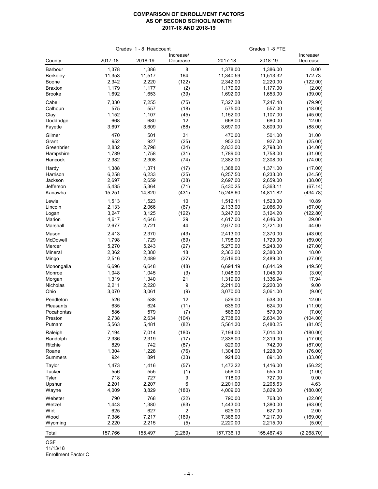|                |         | Grades 1 - 8 Headcount |                  | Grades 1 -8 FTE |            |            |
|----------------|---------|------------------------|------------------|-----------------|------------|------------|
|                |         |                        | Increase/        |                 |            | Increase/  |
| County         | 2017-18 | 2018-19                | Decrease         | 2017-18         | 2018-19    | Decrease   |
| Barbour        | 1,378   | 1,386                  | 8                | 1,378.00        | 1,386.00   | 8.00       |
| Berkeley       | 11,353  | 11,517                 | 164              | 11,340.59       | 11,513.32  | 172.73     |
| Boone          | 2,342   | 2,220                  | (122)            | 2,342.00        | 2,220.00   | (122.00)   |
| <b>Braxton</b> | 1,179   | 1,177                  | (2)              | 1,179.00        | 1,177.00   | (2.00)     |
| <b>Brooke</b>  | 1,692   | 1,653                  | (39)             | 1,692.00        | 1,653.00   | (39.00)    |
| Cabell         | 7,330   | 7,255                  | (75)             | 7,327.38        | 7,247.48   | (79.90)    |
| Calhoun        | 575     | 557                    | (18)             | 575.00          | 557.00     | (18.00)    |
| Clay           | 1,152   | 1,107                  | (45)             | 1,152.00        | 1,107.00   | (45.00)    |
| Doddridge      | 668     | 680                    | 12               | 668.00          | 680.00     | 12.00      |
| Fayette        | 3,697   | 3,609                  | (88)             | 3,697.00        | 3,609.00   | (88.00)    |
| Gilmer         | 470     | 501                    | 31               | 470.00          | 501.00     | 31.00      |
| Grant          | 952     | 927                    | (25)             | 952.00          | 927.00     | (25.00)    |
| Greenbrier     | 2,832   | 2,798                  | (34)             | 2,832.00        | 2,798.00   | (34.00)    |
| Hampshire      | 1,789   | 1,758                  | (31)             | 1,789.00        | 1,758.00   | (31.00)    |
| Hancock        | 2,382   | 2,308                  | (74)             | 2,382.00        | 2,308.00   | (74.00)    |
| Hardy          | 1,388   | 1,371                  | (17)             | 1,388.00        | 1,371.00   | (17.00)    |
| Harrison       | 6,258   | 6,233                  | (25)             | 6,257.50        | 6,233.00   | (24.50)    |
| Jackson        | 2,697   | 2,659                  | (38)             | 2,697.00        | 2,659.00   | (38.00)    |
| Jefferson      | 5,435   | 5,364                  | (71)             | 5,430.25        | 5,363.11   | (67.14)    |
| Kanawha        | 15,251  | 14,820                 | (431)            | 15,246.60       | 14,811.82  | (434.78)   |
|                |         |                        |                  |                 |            |            |
| Lewis          | 1,513   | 1,523                  | 10               | 1,512.11        | 1,523.00   | 10.89      |
| Lincoln        | 2,133   | 2,066                  | (67)             | 2,133.00        | 2,066.00   | (67.00)    |
| Logan          | 3,247   | 3,125                  | (122)            | 3,247.00        | 3,124.20   | (122.80)   |
| Marion         | 4,617   | 4,646                  | 29<br>44         | 4,617.00        | 4,646.00   | 29.00      |
| Marshall       | 2,677   | 2,721                  |                  | 2,677.00        | 2,721.00   | 44.00      |
| Mason          | 2,413   | 2,370                  | (43)             | 2,413.00        | 2,370.00   | (43.00)    |
| McDowell       | 1,798   | 1,729                  | (69)             | 1,798.00        | 1,729.00   | (69.00)    |
| Mercer         | 5,270   | 5,243                  | (27)             | 5,270.00        | 5,243.00   | (27.00)    |
| Mineral        | 2,362   | 2,380                  | 18               | 2,362.00        | 2,380.00   | 18.00      |
| Mingo          | 2,516   | 2,489                  | (27)             | 2,516.00        | 2,489.00   | (27.00)    |
| Monongalia     | 6,696   | 6,648                  | (48)             | 6,694.19        | 6,644.69   | (49.50)    |
| Monroe         | 1,048   | 1,045                  | (3)              | 1,048.00        | 1,045.00   | (3.00)     |
| Morgan         | 1,319   | 1,340                  | 21               | 1,319.00        | 1,336.94   | 17.94      |
| Nicholas       | 2,211   | 2,220                  | $\boldsymbol{9}$ | 2,211.00        | 2,220.00   | 9.00       |
| Ohio           | 3,070   | 3,061                  | (9)              | 3,070.00        | 3,061.00   | (9.00)     |
| Pendleton      | 526     | 538                    | 12               | 526.00          | 538.00     | 12.00      |
| Pleasants      | 635     | 624                    | (11)             | 635.00          | 624.00     | (11.00)    |
| Pocahontas     | 586     | 579                    | (7)              | 586.00          | 579.00     | (7.00)     |
| Preston        | 2,738   | 2,634                  | (104)            | 2,738.00        | 2,634.00   | (104.00)   |
| Putnam         | 5,563   | 5,481                  | (82)             | 5,561.30        | 5,480.25   | (81.05)    |
| Raleigh        | 7,194   | 7,014                  | (180)            | 7,194.00        | 7,014.00   | (180.00)   |
| Randolph       | 2,336   | 2,319                  | (17)             | 2,336.00        | 2,319.00   | (17.00)    |
| Ritchie        | 829     | 742                    | (87)             | 829.00          | 742.00     | (87.00)    |
| Roane          | 1,304   | 1,228                  | (76)             | 1,304.00        | 1,228.00   | (76.00)    |
| Summers        | 924     | 891                    | (33)             | 924.00          | 891.00     | (33.00)    |
| Taylor         | 1,473   | 1,416                  | (57)             | 1,472.22        | 1,416.00   | (56.22)    |
| Tucker         | 556     | 555                    | (1)              | 556.00          | 555.00     | (1.00)     |
| Tyler          | 718     | 727                    | 9                | 718.00          | 727.00     | 9.00       |
| Upshur         | 2,201   | 2,207                  | 6                | 2,201.00        | 2,205.63   | 4.63       |
| Wayne          | 4,009   | 3,829                  | (180)            | 4,009.00        | 3,829.00   | (180.00)   |
| Webster        | 790     | 768                    |                  | 790.00          | 768.00     | (22.00)    |
| Wetzel         | 1,443   | 1,380                  | (22)<br>(63)     | 1,443.00        | 1,380.00   | (63.00)    |
| Wirt           | 625     | 627                    | 2                | 625.00          | 627.00     | 2.00       |
| Wood           | 7,386   | 7,217                  | (169)            | 7,386.00        | 7,217.00   | (169.00)   |
| Wyoming        | 2,220   | 2,215                  | (5)              | 2,220.00        | 2,215.00   | (5.00)     |
|                |         |                        |                  |                 |            |            |
| Total          | 157,766 | 155,497                | (2, 269)         | 157,736.13      | 155,467.43 | (2,268.70) |

OSF

11/13/18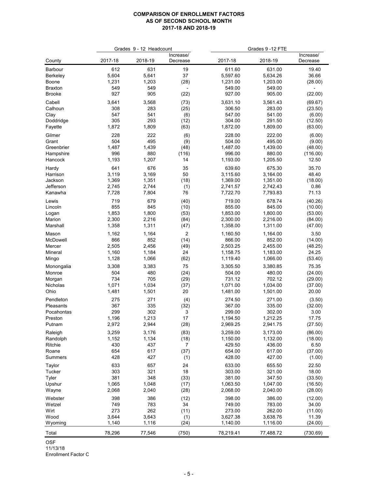|                |         | Grades 9 - 12 Headcount |                       | Grades 9 -12 FTE |           |                       |
|----------------|---------|-------------------------|-----------------------|------------------|-----------|-----------------------|
| County         | 2017-18 | 2018-19                 | Increase/<br>Decrease | 2017-18          | 2018-19   | Increase/<br>Decrease |
| Barbour        | 612     | 631                     | 19                    | 611.60           | 631.00    | 19.40                 |
| Berkeley       | 5,604   | 5,641                   | 37                    | 5,597.60         | 5,634.26  | 36.66                 |
| Boone          | 1,231   | 1,203                   | (28)                  | 1,231.00         | 1,203.00  | (28.00)               |
| <b>Braxton</b> | 549     | 549                     |                       | 549.00           | 549.00    |                       |
| <b>Brooke</b>  | 927     | 905                     | (22)                  | 927.00           | 905.00    | (22.00)               |
| Cabell         | 3,641   | 3,568                   | (73)                  | 3,631.10         | 3,561.43  | (69.67)               |
| Calhoun        | 308     | 283                     | (25)                  | 306.50           | 283.00    | (23.50)               |
| Clay           | 547     | 541                     | (6)                   | 547.00           | 541.00    | (6.00)                |
| Doddridge      | 305     | 293                     | (12)                  | 304.00           | 291.50    | (12.50)               |
| Fayette        | 1,872   | 1,809                   | (63)                  | 1,872.00         | 1,809.00  | (63.00)               |
| Gilmer         | 228     | 222                     | (6)                   | 228.00           | 222.00    | (6.00)                |
| Grant          | 504     | 495                     | (9)                   | 504.00           | 495.00    | (9.00)                |
| Greenbrier     | 1,487   | 1,439                   | (48)                  | 1,487.00         | 1,439.00  | (48.00)               |
| Hampshire      | 996     | 880                     | (116)                 | 996.00           | 880.00    | (116.00)              |
| Hancock        | 1,193   | 1,207                   | 14                    | 1,193.00         | 1,205.50  | 12.50                 |
| Hardy          | 641     | 676                     | 35                    | 639.60           | 675.30    | 35.70                 |
| Harrison       | 3,119   | 3,169                   | 50                    | 3,115.60         | 3,164.00  | 48.40                 |
| Jackson        | 1,369   | 1,351                   | (18)                  | 1,369.00         | 1,351.00  | (18.00)               |
| Jefferson      | 2,745   | 2,744                   | (1)                   | 2,741.57         | 2,742.43  | 0.86                  |
| Kanawha        | 7,728   | 7,804                   | 76                    | 7,722.70         | 7,793.83  | 71.13                 |
| Lewis          | 719     | 679                     | (40)                  | 719.00           | 678.74    | (40.26)               |
| Lincoln        | 855     | 845                     | (10)                  | 855.00           | 845.00    | (10.00)               |
| Logan          | 1,853   | 1,800                   | (53)                  | 1,853.00         | 1,800.00  | (53.00)               |
| Marion         | 2,300   | 2,216                   | (84)                  | 2,300.00         | 2,216.00  | (84.00)               |
| Marshall       | 1,358   | 1,311                   | (47)                  | 1,358.00         | 1,311.00  | (47.00)               |
| Mason          | 1,162   | 1,164                   | $\overline{c}$        | 1,160.50         | 1,164.00  | 3.50                  |
| McDowell       | 866     | 852                     | (14)                  | 866.00           | 852.00    | (14.00)               |
| Mercer         | 2,505   | 2,456                   | (49)                  | 2,503.25         | 2,455.00  | (48.25)               |
| Mineral        | 1,160   | 1,184                   | 24                    | 1,158.75         | 1,183.00  | 24.25                 |
| Mingo          | 1,128   | 1,066                   | (62)                  | 1,119.40         | 1,066.00  | (53.40)               |
| Monongalia     | 3,308   | 3,383                   | 75                    | 3,305.50         | 3,380.85  | 75.35                 |
| Monroe         | 504     | 480                     | (24)                  | 504.00           | 480.00    | (24.00)               |
| Morgan         | 734     | 705                     | (29)                  | 731.12           | 702.12    | (29.00)               |
| Nicholas       | 1,071   | 1,034                   | (37)                  | 1,071.00         | 1,034.00  | (37.00)               |
| Ohio           | 1,481   | 1,501                   | 20                    | 1,481.00         | 1,501.00  | 20.00                 |
| Pendleton      | 275     | 271                     | (4)                   | 274.50           | 271.00    | (3.50)                |
| Pleasants      | 367     | 335                     | (32)                  | 367.00           | 335.00    | (32.00)               |
| Pocahontas     | 299     | 302                     | 3                     | 299.00           | 302.00    | 3.00                  |
| Preston        | 1,196   | 1,213                   | 17                    | 1,194.50         | 1,212.25  | 17.75                 |
| Putnam         | 2,972   | 2,944                   | (28)                  | 2,969.25         | 2,941.75  | (27.50)               |
| Raleigh        | 3,259   | 3,176                   | (83)                  | 3,259.00         | 3,173.00  | (86.00)               |
| Randolph       | 1,152   | 1,134                   | (18)                  | 1,150.00         | 1,132.00  | (18.00)               |
| Ritchie        | 430     | 437                     | 7                     | 429.50           | 436.00    | 6.50                  |
| Roane          | 654     | 617                     | (37)                  | 654.00           | 617.00    | (37.00)               |
| Summers        | 428     | 427                     | (1)                   | 428.00           | 427.00    | (1.00)                |
| Taylor         | 633     | 657                     | 24                    | 633.00           | 655.50    | 22.50                 |
| Tucker         | 303     | 321                     | 18                    | 303.00           | 321.00    | 18.00                 |
| Tyler          | 381     | 348                     | (33)                  | 381.00           | 347.50    | (33.50)               |
| Upshur         | 1,065   | 1,048                   | (17)                  | 1,063.50         | 1,047.00  | (16.50)               |
| Wayne          | 2,068   | 2,040                   | (28)                  | 2,068.00         | 2,040.00  | (28.00)               |
| Webster        | 398     | 386                     | (12)                  | 398.00           | 386.00    | (12.00)               |
| Wetzel         | 749     | 783                     | 34                    | 749.00           | 783.00    | 34.00                 |
| Wirt           | 273     | 262                     | (11)                  | 273.00           | 262.00    | (11.00)               |
| Wood           | 3,644   | 3,643                   | (1)                   | 3,627.38         | 3,638.76  | 11.39                 |
| Wyoming        | 1,140   | 1,116                   | (24)                  | 1,140.00         | 1,116.00  | (24.00)               |
| Total          | 78,296  | 77,546                  | (750)                 | 78,219.41        | 77,488.72 | (730.69)              |

OSF

11/13/18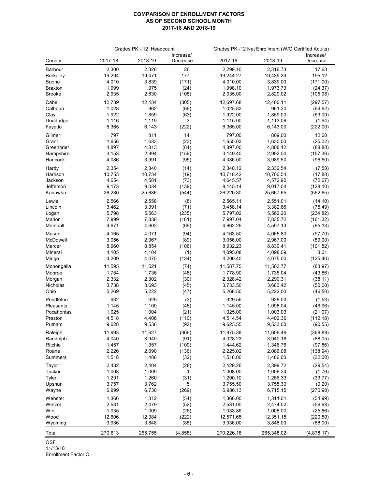|                | Grades PK - 12 Headcount |         | Grades PK -12 Net Enrollment (W/O Certified Adults) |            |            |                       |
|----------------|--------------------------|---------|-----------------------------------------------------|------------|------------|-----------------------|
| County         | 2017-18                  | 2018-19 | Increase/<br>Decrease                               | 2017-18    | 2018-19    | Increase/<br>Decrease |
| Barbour        | 2,300                    | 2,326   | 26                                                  | 2,299.10   | 2,316.73   | 17.63                 |
| Berkeley       | 19,294                   | 19,471  | 177                                                 | 19,244.27  | 19,439.39  | 195.12                |
| Boone          | 4,010                    | 3,839   | (171)                                               | 4,010.00   | 3,839.00   | (171.00)              |
| <b>Braxton</b> | 1,999                    | 1,975   | (24)                                                | 1,998.10   | 1,973.73   | (24.37)               |
| <b>Brooke</b>  | 2,935                    | 2,830   | (105)                                               | 2,935.00   | 2,829.02   | (105.98)              |
| Cabell         | 12,739                   | 12,434  | (305)                                               | 12,697.68  | 12,400.11  | (297.57)              |
| Calhoun        | 1,028                    | 962     | (66)                                                | 1,025.82   | 961.20     | (64.62)               |
| Clay           | 1,922                    | 1,859   | (63)                                                | 1,922.00   | 1,859.00   | (63.00)               |
| Doddridge      | 1,116                    | 1,119   | 3                                                   | 1,115.00   | 1,113.06   | (1.94)                |
| Fayette        | 6,365                    | 6,143   | (222)                                               | 6,365.00   | 6,143.00   | (222.00)              |
| Gilmer         | 797                      | 811     | 14                                                  | 797.00     | 809.00     | 12.00                 |
| Grant          | 1,656                    | 1,633   | (23)                                                | 1,655.02   | 1,630.00   | (25.02)               |
| Greenbrier     | 4,897                    | 4,813   | (84)                                                | 4,897.00   | 4,808.12   | (88.88)               |
| Hampshire      | 3,153                    | 2,994   | (159)                                               | 3,149.40   | 2,992.04   | (157.36)              |
| Hancock        | 4,086                    | 3,991   | (95)                                                | 4,086.00   | 3,989.50   | (96.50)               |
| Hardy          | 2,354                    | 2,340   | (14)                                                | 2,340.12   | 2,332.54   | (7.58)                |
| Harrison       | 10,753                   | 10,734  | (19)                                                | 10,718.42  | 10,700.54  | (17.88)               |
| Jackson        | 4,654                    | 4,581   | (73)                                                | 4,645.57   | 4,572.90   | (72.67)               |
| Jefferson      | 9,173                    | 9,034   | (139)                                               | 9,145.14   | 9,017.04   | (128.10)              |
| Kanawha        | 26,230                   | 25,686  | (544)                                               | 26,220.30  | 25,667.65  | (552.65)              |
| Lewis          | 2,566                    | 2,558   | (8)                                                 | 2,565.11   | 2,551.01   | (14.10)               |
| Lincoln        | 3,462                    | 3,391   | (71)                                                | 3,458.14   | 3,382.66   | (75.49)               |
| Logan          | 5,798                    | 5,563   | (235)                                               | 5,797.02   | 5,562.20   | (234.82)              |
| Marion         | 7,999                    | 7,838   | (161)                                               | 7,997.04   | 7,835.72   | (161.32)              |
| Marshall       | 4,671                    | 4,602   | (69)                                                | 4,662.26   | 4,597.13   | (65.13)               |
| Mason          | 4,165                    | 4,071   | (94)                                                | 4,163.50   | 4,065.80   | (97.70)               |
| McDowell       | 3,056                    | 2,967   | (89)                                                | 3,056.00   | 2,967.00   | (89.00)               |
| Mercer         | 8,960                    | 8,854   | (106)                                               | 8,932.23   | 8,830.41   | (101.82)              |
| Mineral        | 4,105                    | 4,104   | (1)                                                 | 4,095.08   | 4,098.09   | 3.01                  |
| Mingo          | 4,209                    | 4,075   | (134)                                               | 4,200.40   | 4,075.00   | (125.40)              |
| Monongalia     | 11,595                   | 11,521  | (74)                                                | 11,587.75  | 11,503.77  | (83.97)               |
| Monroe         | 1,784                    | 1,736   | (48)                                                | 1,778.90   | 1,735.04   | (43.86)               |
| Morgan         | 2,332                    | 2,302   | (30)                                                | 2,328.42   | 2,290.31   | (38.11)               |
| Nicholas       | 3,738                    | 3,693   | (45)                                                | 3,733.50   | 3,683.42   | (50.08)               |
| Ohio           | 5,269                    | 5,222   | (47)                                                | 5,268.50   | 5,222.00   | (46.50)               |
| Pendleton      | 932                      | 929     | (3)                                                 | 929.56     | 928.03     | (1.53)                |
| Pleasants      | 1,145                    | 1,100   | (45)                                                | 1,145.00   | 1,098.04   | (46.96)               |
| Pocahontas     | 1,025                    | 1,004   | (21)                                                | 1,025.00   | 1,003.03   | (21.97)               |
| Preston        | 4,518                    | 4,408   | (110)                                               | 4,514.54   | 4,402.36   | (112.18)              |
| Putnam         | 9,628                    | 9,536   | (92)                                                | 9,623.55   | 9,533.00   | (90.55)               |
| Raleigh        | 11,993                   | 11,627  | (366)                                               | 11,975.38  | 11,606.49  | (368.89)              |
| Randolph       | 4,040                    | 3,949   | (91)                                                | 4,028.23   | 3,940.18   | (88.05)               |
| Ritchie        | 1,457                    | 1,357   | (100)                                               | 1,444.62   | 1,346.76   | (97.86)               |
| Roane          | 2,226                    | 2,090   | (136)                                               | 2,225.02   | 2,086.08   | (138.94)              |
| Summers        | 1,518                    | 1,486   | (32)                                                | 1,518.00   | 1,486.00   | (32.00)               |
| Taylor         | 2,432                    | 2,404   | (28)                                                | 2,429.26   | 2,399.72   | (29.54)               |
| Tucker         | 1,008                    | 1,009   | 1                                                   | 1,008.00   | 1,006.24   | (1.76)                |
| Tyler          | 1,291                    | 1,260   | (31)                                                | 1,290.10   | 1,256.33   | (33.77)               |
| Upshur         | 3,757                    | 3,762   | 5                                                   | 3,755.50   | 3,755.30   | (0.20)                |
| Wayne          | 6,999                    | 6,730   | (269)                                               | 6,986.13   | 6,715.15   | (270.98)              |
| Webster        | 1,366                    | 1,312   | (54)                                                | 1,366.00   | 1,311.01   | (54.99)               |
| Wetzel         | 2,531                    | 2,479   | (52)                                                | 2,531.00   | 2,474.02   | (56.98)               |
| Wirt           | 1,035                    | 1,009   | (26)                                                | 1,033.86   | 1,008.00   | (25.86)               |
| Wood           | 12,606                   | 12,384  | (222)                                               | 12,571.65  | 12,351.15  | (220.50)              |
| Wyoming        | 3,936                    | 3,848   | (88)                                                | 3,936.00   | 3,848.00   | (88.00)               |
| Total          | 270,613                  | 265,755 | (4, 858)                                            | 270,226.18 | 265,348.02 | (4,878.17)            |

OSF

11/13/18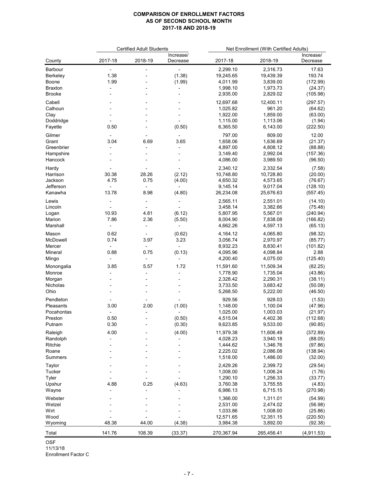|                | <b>Certified Adult Students</b> |                              | Net Enrollment (With Certified Adults) |            |            |                       |
|----------------|---------------------------------|------------------------------|----------------------------------------|------------|------------|-----------------------|
| County         | 2017-18                         | 2018-19                      | Increase/<br>Decrease                  | 2017-18    | 2018-19    | Increase/<br>Decrease |
| Barbour        | $\overline{\phantom{0}}$        | $\overline{\phantom{a}}$     |                                        | 2,299.10   | 2,316.73   | 17.63                 |
| Berkeley       | 1.38                            |                              | (1.38)                                 | 19,245.65  | 19,439.39  | 193.74                |
| Boone          | 1.99                            |                              | (1.99)                                 | 4,011.99   | 3,839.00   | (172.99)              |
| <b>Braxton</b> | $\frac{1}{2}$                   |                              | $\overline{\phantom{0}}$               | 1,998.10   | 1,973.73   | (24.37)               |
| <b>Brooke</b>  |                                 |                              |                                        | 2,935.00   | 2,829.02   | (105.98)              |
| Cabell         |                                 |                              |                                        | 12,697.68  | 12,400.11  | (297.57)              |
| Calhoun        |                                 |                              |                                        | 1,025.82   | 961.20     | (64.62)               |
| Clay           |                                 |                              |                                        | 1,922.00   | 1,859.00   | (63.00)               |
| Doddridge      |                                 |                              |                                        | 1,115.00   | 1,113.06   | (1.94)                |
| Fayette        | 0.50                            |                              | (0.50)                                 | 6,365.50   | 6,143.00   | (222.50)              |
| Gilmer         |                                 |                              |                                        | 797.00     | 809.00     | 12.00                 |
| Grant          | 3.04                            | 6.69                         | 3.65                                   | 1,658.06   | 1,636.69   | (21.37)               |
| Greenbrier     |                                 | $\overline{a}$               | $\overline{\phantom{a}}$               | 4,897.00   | 4,808.12   | (88.88)               |
| Hampshire      |                                 | $\overline{a}$               | $\overline{a}$                         | 3,149.40   | 2,992.04   | (157.36)              |
| Hancock        |                                 |                              |                                        | 4,086.00   | 3,989.50   | (96.50)               |
| Hardy          |                                 |                              |                                        | 2,340.12   | 2,332.54   | (7.58)                |
| Harrison       | 30.38                           | 28.26                        | (2.12)                                 | 10,748.80  | 10,728.80  | (20.00)               |
| Jackson        | 4.75                            | 0.75                         | (4.00)                                 | 4,650.32   | 4,573.65   | (76.67)               |
| Jefferson      | $\overline{\phantom{a}}$        | $\blacksquare$               | $\overline{a}$                         | 9,145.14   | 9,017.04   | (128.10)              |
| Kanawha        | 13.78                           | 8.98                         | (4.80)                                 | 26,234.08  | 25,676.63  | (557.45)              |
| Lewis          | $\overline{\phantom{0}}$        | $\overline{\phantom{a}}$     | $\overline{a}$                         | 2,565.11   | 2,551.01   | (14.10)               |
| Lincoln        |                                 | $\overline{a}$               |                                        | 3,458.14   | 3,382.66   | (75.48)               |
| Logan          | 10.93                           | 4.81                         | (6.12)                                 | 5,807.95   | 5,567.01   | (240.94)              |
| Marion         | 7.86                            | 2.36                         | (5.50)                                 | 8,004.90   | 7,838.08   | (166.82)              |
| Marshall       | $\frac{1}{2}$                   | $\overline{a}$               | $\overline{\phantom{0}}$               | 4,662.26   | 4,597.13   | (65.13)               |
| Mason          | 0.62                            |                              | (0.62)                                 | 4,164.12   | 4,065.80   | (98.32)               |
| McDowell       | 0.74                            | 3.97                         | 3.23                                   | 3,056.74   | 2,970.97   | (85.77)               |
| Mercer         | $\overline{\phantom{a}}$        | $\overline{\phantom{a}}$     | $\overline{\phantom{a}}$               | 8,932.23   | 8,830.41   | (101.82)              |
| Mineral        | 0.88                            | 0.75                         | (0.13)                                 | 4,095.96   | 4,098.84   | 2.88                  |
| Mingo          | $\overline{\phantom{0}}$        | $\qquad \qquad \blacksquare$ | $\overline{\phantom{a}}$               | 4,200.40   | 4,075.00   | (125.40)              |
| Monongalia     | 3.85                            | 5.57                         | 1.72                                   | 11,591.60  | 11,509.34  | (82.25)               |
| Monroe         | $\overline{a}$                  | $\overline{a}$               | $\overline{a}$                         | 1,778.90   | 1,735.04   | (43.86)               |
| Morgan         |                                 |                              | $\overline{a}$                         | 2,328.42   | 2,290.31   | (38.11)               |
| Nicholas       |                                 |                              |                                        | 3,733.50   | 3,683.42   | (50.08)               |
| Ohio           |                                 |                              |                                        | 5,268.50   | 5,222.00   | (46.50)               |
| Pendleton      |                                 |                              |                                        | 929.56     | 928.03     | (1.53)                |
| Pleasants      | 3.00                            | 2.00                         | (1.00)                                 | 1,148.00   | 1,100.04   | (47.96)               |
| Pocahontas     | $\overline{\phantom{0}}$        | $\overline{a}$               | $\overline{\phantom{0}}$               | 1,025.00   | 1,003.03   | (21.97)               |
| Preston        | 0.50                            | $\overline{\phantom{a}}$     | (0.50)                                 | 4,515.04   | 4,402.36   | (112.68)              |
| Putnam         | 0.30                            |                              | (0.30)                                 | 9,623.85   | 9,533.00   | (90.85)               |
| Raleigh        | 4.00                            |                              | (4.00)                                 | 11,979.38  | 11,606.49  | (372.89)              |
| Randolph       | $\overline{a}$                  |                              |                                        | 4,028.23   | 3,940.18   | (88.05)               |
| Ritchie        |                                 |                              |                                        | 1,444.62   | 1,346.76   | (97.86)               |
| Roane          |                                 |                              |                                        | 2,225.02   | 2,086.08   | (138.94)              |
| Summers        |                                 |                              |                                        | 1,518.00   | 1,486.00   | (32.00)               |
| Taylor         |                                 |                              |                                        | 2,429.26   | 2,399.72   | (29.54)               |
| Tucker         |                                 |                              |                                        | 1,008.00   | 1,006.24   | (1.76)                |
| Tyler          |                                 |                              |                                        | 1,290.10   | 1,256.33   | (33.77)               |
| Upshur         | 4.88                            | 0.25                         | (4.63)                                 | 3,760.38   | 3,755.55   | (4.83)                |
| Wayne          |                                 |                              |                                        | 6,986.13   | 6,715.15   | (270.98)              |
| Webster        |                                 |                              |                                        | 1,366.00   | 1,311.01   | (54.99)               |
| Wetzel         |                                 |                              |                                        | 2,531.00   | 2,474.02   | (56.98)               |
| Wirt           |                                 |                              |                                        | 1,033.86   | 1,008.00   | (25.86)               |
| Wood           |                                 |                              |                                        | 12,571.65  | 12,351.15  | (220.50)              |
| Wyoming        | 48.38                           | 44.00                        | (4.38)                                 | 3,984.38   | 3,892.00   | (92.38)               |
|                |                                 |                              |                                        |            |            |                       |
| Total          | 141.76                          | 108.39                       | (33.37)                                | 270,367.94 | 265,456.41 | (4,911.53)            |

OSF

11/13/18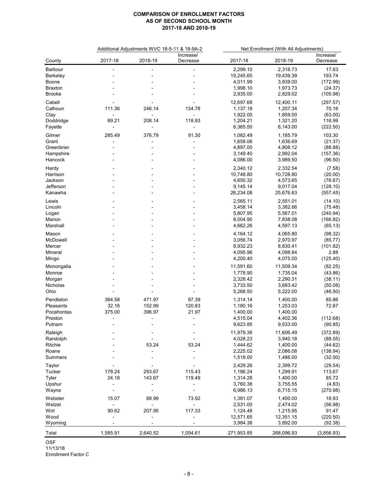|                | Additional Adjustments WVC 18-5-11 & 18-9A-2 |                              |                          | Net Enrollment (With All Adjustments) |            |                |
|----------------|----------------------------------------------|------------------------------|--------------------------|---------------------------------------|------------|----------------|
|                |                                              |                              | Increase/                |                                       |            | Increase/      |
| County         | 2017-18                                      | 2018-19                      | Decrease                 | 2017-18                               | 2018-19    | Decrease       |
| Barbour        | $\overline{a}$                               | -                            | -                        | 2,299.10                              | 2,316.73   | 17.63          |
| Berkeley       |                                              |                              |                          | 19,245.65                             | 19,439.39  | 193.74         |
| Boone          |                                              |                              |                          | 4,011.99                              | 3,839.00   | (172.99)       |
| <b>Braxton</b> |                                              |                              |                          | 1,998.10                              | 1,973.73   | (24.37)        |
| <b>Brooke</b>  |                                              |                              |                          | 2,935.00                              | 2,829.02   | (105.98)       |
| Cabell         |                                              |                              |                          | 12,697.68                             | 12,400.11  | (297.57)       |
| Calhoun        | 111.36                                       | 246.14                       | 134.78                   | 1,137.18                              | 1,207.34   | 70.16          |
| Clay           | $\overline{a}$                               |                              |                          | 1,922.00                              | 1,859.00   | (63.00)        |
| Doddridge      | 89.21                                        | 208.14                       | 118.93                   | 1,204.21                              | 1,321.20   | 116.99         |
| Fayette        | $\overline{a}$                               |                              |                          | 6,365.50                              | 6,143.00   | (222.50)       |
|                |                                              |                              |                          |                                       |            |                |
| Gilmer         | 285.49                                       | 376.79                       | 91.30                    | 1,082.49                              | 1,185.79   | 103.30         |
| Grant          | $\overline{a}$                               |                              |                          | 1,658.06                              | 1,636.69   | (21.37)        |
| Greenbrier     |                                              |                              |                          | 4,897.00                              | 4,808.12   | (88.88)        |
| Hampshire      |                                              |                              |                          | 3,149.40                              | 2,992.04   | (157.36)       |
| Hancock        |                                              |                              |                          | 4,086.00                              | 3,989.50   | (96.50)        |
| Hardy          |                                              |                              |                          | 2,340.12                              | 2,332.54   | (7.58)         |
| Harrison       |                                              |                              |                          | 10,748.80                             | 10,728.80  | (20.00)        |
| Jackson        |                                              |                              |                          | 4,650.32                              | 4,573.65   | (76.67)        |
| Jefferson      |                                              |                              |                          | 9,145.14                              | 9,017.04   | (128.10)       |
| Kanawha        |                                              |                              |                          | 26,234.08                             | 25,676.63  | (557.45)       |
| Lewis          |                                              |                              |                          | 2,565.11                              | 2,551.01   | (14.10)        |
| Lincoln        |                                              |                              |                          | 3,458.14                              | 3,382.66   | (75.48)        |
| Logan          |                                              |                              |                          | 5,807.95                              | 5,567.01   | (240.94)       |
| Marion         |                                              |                              |                          | 8,004.90                              | 7,838.08   | (166.82)       |
| Marshall       |                                              |                              |                          | 4,662.26                              | 4,597.13   | (65.13)        |
| Mason          |                                              |                              |                          | 4,164.12                              | 4,065.80   | (98.32)        |
| McDowell       |                                              |                              |                          | 3,056.74                              | 2,970.97   | (85.77)        |
| Mercer         |                                              |                              |                          | 8,932.23                              | 8,830.41   | (101.82)       |
| Mineral        |                                              |                              |                          | 4,095.96                              | 4,098.84   | 2.88           |
| Mingo          |                                              |                              |                          | 4,200.40                              | 4,075.00   | (125.40)       |
|                |                                              |                              |                          |                                       |            |                |
| Monongalia     |                                              |                              |                          | 11,591.60                             | 11,509.34  | (82.25)        |
| Monroe         |                                              |                              |                          | 1,778.90                              | 1,735.04   | (43.86)        |
| Morgan         |                                              |                              |                          | 2,328.42                              | 2,290.31   | (38.11)        |
| Nicholas       |                                              |                              |                          | 3,733.50                              | 3,683.42   | (50.08)        |
| Ohio           |                                              |                              |                          | 5,268.50                              | 5,222.00   | (46.50)        |
| Pendleton      | 384.58                                       | 471.97                       | 87.39                    | 1,314.14                              | 1,400.00   | 85.86          |
| Pleasants      | 32.16                                        | 152.99                       | 120.83                   | 1,180.16                              | 1,253.03   | 72.87          |
| Pocahontas     | 375.00                                       | 396.97                       | 21.97                    | 1,400.00                              | 1,400.00   | $\overline{a}$ |
| Preston        | $\overline{a}$                               | $\overline{\phantom{a}}$     | $\overline{\phantom{0}}$ | 4,515.04                              | 4,402.36   | (112.68)       |
| Putnam         |                                              |                              |                          | 9,623.85                              | 9,533.00   | (90.85)        |
| Raleigh        |                                              |                              |                          | 11,979.38                             | 11,606.49  | (372.89)       |
| Randolph       |                                              |                              |                          | 4,028.23                              | 3,940.18   | (88.05)        |
| Ritchie        |                                              | 53.24                        | 53.24                    | 1,444.62                              | 1,400.00   | (44.62)        |
| Roane          |                                              |                              |                          | 2,225.02                              | 2,086.08   | (138.94)       |
| Summers        |                                              |                              |                          | 1,518.00                              | 1,486.00   | (32.00)        |
| Taylor         |                                              |                              |                          | 2,429.26                              | 2,399.72   | (29.54)        |
| Tucker         | 178.24                                       | 293.67                       | 115.43                   | 1,186.24                              | 1,299.91   | 113.67         |
| Tyler          | 24.18                                        | 143.67                       | 119.49                   | 1,314.28                              | 1,400.00   | 85.72          |
| Upshur         | $\overline{a}$                               | $\qquad \qquad \blacksquare$ | $\overline{\phantom{0}}$ | 3,760.38                              | 3,755.55   | (4.83)         |
| Wayne          |                                              | $\overline{a}$               |                          | 6,986.13                              | 6,715.15   | (270.98)       |
|                |                                              |                              |                          |                                       |            |                |
| Webster        | 15.07                                        | 88.99                        | 73.92                    | 1,381.07                              | 1,400.00   | 18.93          |
| Wetzel         | $\overline{a}$                               |                              | $\overline{a}$           | 2,531.00                              | 2,474.02   | (56.98)        |
| Wirt           | 90.62                                        | 207.95                       | 117.33                   | 1,124.48                              | 1,215.95   | 91.47          |
| Wood           |                                              |                              |                          | 12,571.65                             | 12,351.15  | (220.50)       |
| Wyoming        |                                              |                              |                          | 3,984.38                              | 3,892.00   | (92.38)        |
| Total          | 1,585.91                                     | 2,640.52                     | 1,054.61                 | 271,953.85                            | 268,096.93 | (3,856.93)     |

OSF

11/13/18